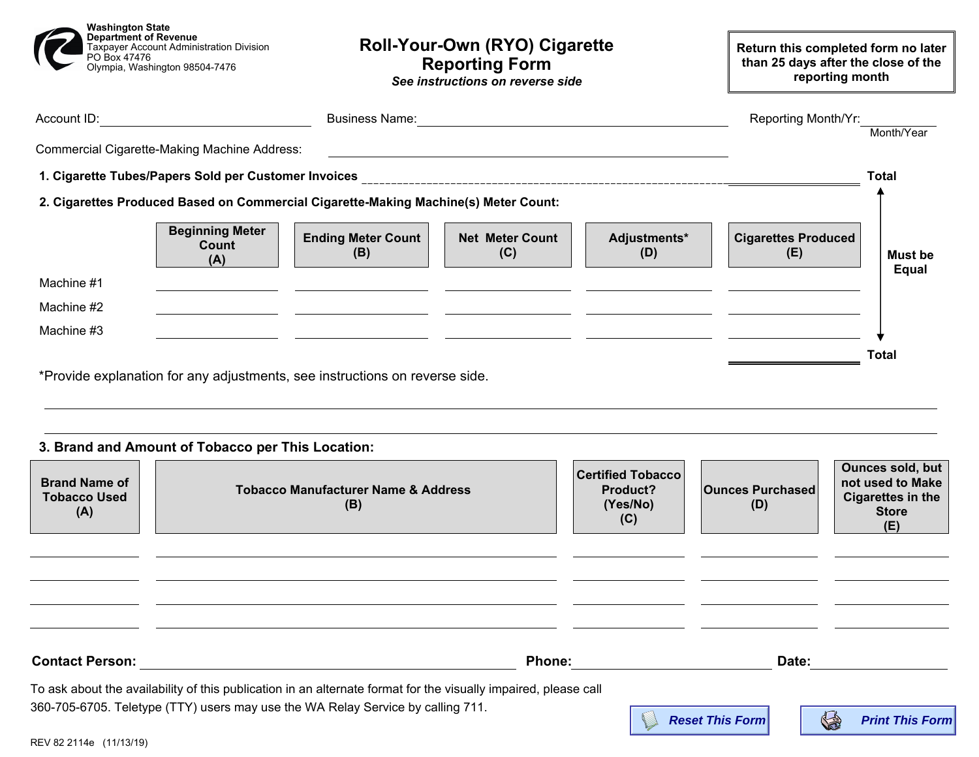| <b>Washington State</b><br>Department of Revenue<br>Taxpayer Account Administration Division<br>PO Box 47476<br>Olympia, Washington 98504-7476 | Roll-Your-Own (RYO) Cigarette<br><b>Reporting Form</b><br>See instructions on reverse side                            |                                                                                                                                                                                                                                | Return this completed form no later<br>than 25 days after the close of the<br>reporting month |                                   |                |
|------------------------------------------------------------------------------------------------------------------------------------------------|-----------------------------------------------------------------------------------------------------------------------|--------------------------------------------------------------------------------------------------------------------------------------------------------------------------------------------------------------------------------|-----------------------------------------------------------------------------------------------|-----------------------------------|----------------|
|                                                                                                                                                |                                                                                                                       | Business Name: 2020 March 2020 March 2020 March 2020 March 2020 March 2020 March 2020 March 2020 March 2020 March 2020 March 2020 March 2020 March 2020 March 2020 March 2020 March 2020 March 2020 March 2020 March 2020 Marc |                                                                                               | Reporting Month/Yr:               | Month/Year     |
| Commercial Cigarette-Making Machine Address:                                                                                                   |                                                                                                                       |                                                                                                                                                                                                                                | <u> 1989 - Johann Barn, amerikansk politiker (d. 1989)</u>                                    |                                   |                |
|                                                                                                                                                | <b>Total</b>                                                                                                          |                                                                                                                                                                                                                                |                                                                                               |                                   |                |
| 2. Cigarettes Produced Based on Commercial Cigarette-Making Machine(s) Meter Count:                                                            |                                                                                                                       |                                                                                                                                                                                                                                |                                                                                               |                                   |                |
| <b>Beginning Meter</b><br>Count<br>(A)                                                                                                         | <b>Ending Meter Count</b><br>(B)                                                                                      | <b>Net Meter Count</b><br>(C)                                                                                                                                                                                                  | Adjustments*<br>(D)                                                                           | <b>Cigarettes Produced</b><br>(E) | <b>Must be</b> |
| Machine #1                                                                                                                                     |                                                                                                                       |                                                                                                                                                                                                                                |                                                                                               |                                   | Equal          |
| Machine #2                                                                                                                                     | <u> 1989 - Johann Harry Harry Harry Harry Harry Harry Harry Harry Harry Harry Harry Harry Harry Harry Harry Harry</u> | the contract of the contract of the contract of the contract of the contract of                                                                                                                                                |                                                                                               |                                   |                |
| Machine #3                                                                                                                                     |                                                                                                                       |                                                                                                                                                                                                                                | <u> 1990 - Andrea Andrew Maria (h. 1980).</u><br>1901 - Andrew Maria (h. 1902).               |                                   |                |
|                                                                                                                                                |                                                                                                                       |                                                                                                                                                                                                                                |                                                                                               |                                   | <b>Total</b>   |
| *Provide explanation for any adjustments, see instructions on reverse side.                                                                    |                                                                                                                       |                                                                                                                                                                                                                                |                                                                                               |                                   |                |
|                                                                                                                                                |                                                                                                                       |                                                                                                                                                                                                                                |                                                                                               |                                   |                |
|                                                                                                                                                |                                                                                                                       |                                                                                                                                                                                                                                |                                                                                               |                                   |                |
| 3. Brand and Amount of Tobacco per This Location:                                                                                              |                                                                                                                       |                                                                                                                                                                                                                                |                                                                                               |                                   |                |

| <b>Brand Name of</b><br>Tobacco Used<br>(A) | <b>Tobacco Manufacturer Name &amp; Address</b><br>(B)                                                                            | <b>Certified Tobacco</b><br>Product?<br>(Yes/No)<br>(C) | <b>Ounces Purchased</b><br>(D) | <b>Ounces sold, but</b><br>not used to Make<br><b>Cigarettes in the</b><br><b>Store</b><br>(E) |
|---------------------------------------------|----------------------------------------------------------------------------------------------------------------------------------|---------------------------------------------------------|--------------------------------|------------------------------------------------------------------------------------------------|
| <b>Contact Person:</b>                      | <b>Phone:</b><br>To ask about the availability of this publication in an alternate format for the visually impaired, please call |                                                         | Date:                          |                                                                                                |
|                                             | 360-705-6705. Teletype (TTY) users may use the WA Relay Service by calling 711.                                                  |                                                         | <b>Reset This Form</b>         | <b>Contract</b><br><b>Print This Form</b>                                                      |